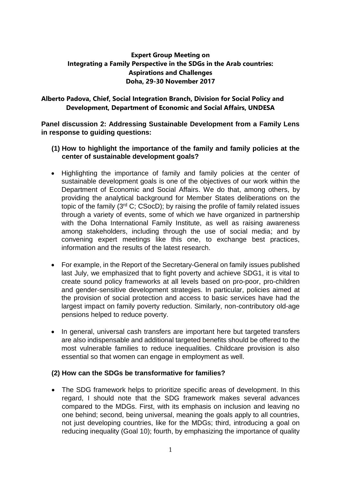# **Expert Group Meeting on Integrating a Family Perspective in the SDGs in the Arab countries: Aspirations and Challenges Doha, 29-30 November 2017**

## **Alberto Padova, Chief, Social Integration Branch, Division for Social Policy and Development, Department of Economic and Social Affairs, UNDESA**

**Panel discussion 2: Addressing Sustainable Development from a Family Lens in response to guiding questions:**

### **(1) How to highlight the importance of the family and family policies at the center of sustainable development goals?**

- Highlighting the importance of family and family policies at the center of sustainable development goals is one of the objectives of our work within the Department of Economic and Social Affairs. We do that, among others, by providing the analytical background for Member States deliberations on the topic of the family  $(3<sup>rd</sup> C; C<sub>SOc</sub>D)$ ; by raising the profile of family related issues through a variety of events, some of which we have organized in partnership with the Doha International Family Institute, as well as raising awareness among stakeholders, including through the use of social media; and by convening expert meetings like this one, to exchange best practices, information and the results of the latest research.
- For example, in the Report of the Secretary-General on family issues published last July, we emphasized that to fight poverty and achieve SDG1, it is vital to create sound policy frameworks at all levels based on pro-poor, pro-children and gender-sensitive development strategies. In particular, policies aimed at the provision of social protection and access to basic services have had the largest impact on family poverty reduction. Similarly, non-contributory old-age pensions helped to reduce poverty.
- In general, universal cash transfers are important here but targeted transfers are also indispensable and additional targeted benefits should be offered to the most vulnerable families to reduce inequalities. Childcare provision is also essential so that women can engage in employment as well.

### **(2) How can the SDGs be transformative for families?**

 The SDG framework helps to prioritize specific areas of development. In this regard, I should note that the SDG framework makes several advances compared to the MDGs. First, with its emphasis on inclusion and leaving no one behind; second, being universal, meaning the goals apply to all countries, not just developing countries, like for the MDGs; third, introducing a goal on reducing inequality (Goal 10); fourth, by emphasizing the importance of quality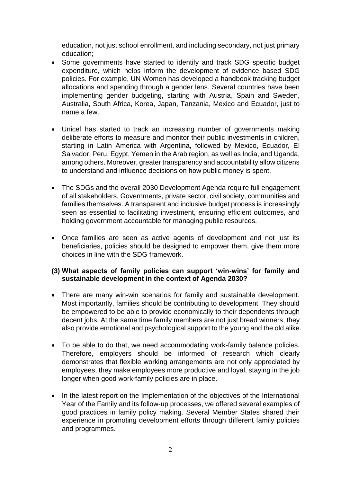education, not just school enrollment, and including secondary, not just primary education;

- Some governments have started to identify and track SDG specific budget expenditure, which helps inform the development of evidence based SDG policies. For example, UN Women has developed a handbook tracking budget allocations and spending through a gender lens. Several countries have been implementing gender budgeting, starting with Austria, Spain and Sweden, Australia, South Africa, Korea, Japan, Tanzania, Mexico and Ecuador, just to name a few.
- Unicef has started to track an increasing number of governments making deliberate efforts to measure and monitor their public investments in children, starting in Latin America with Argentina, followed by Mexico, Ecuador, El Salvador, Peru, Egypt, Yemen in the Arab region, as well as India, and Uganda, among others. Moreover, greater transparency and accountability allow citizens to understand and influence decisions on how public money is spent.
- The SDGs and the overall 2030 Development Agenda require full engagement of all stakeholders, Governments, private sector, civil society, communities and families themselves. A transparent and inclusive budget process is increasingly seen as essential to facilitating investment, ensuring efficient outcomes, and holding government accountable for managing public resources.
- Once families are seen as active agents of development and not just its beneficiaries, policies should be designed to empower them, give them more choices in line with the SDG framework.

### **(3) What aspects of family policies can support 'win-wins' for family and sustainable development in the context of Agenda 2030?**

- There are many win-win scenarios for family and sustainable development. Most importantly, families should be contributing to development. They should be empowered to be able to provide economically to their dependents through decent jobs. At the same time family members are not just bread winners, they also provide emotional and psychological support to the young and the old alike.
- To be able to do that, we need accommodating work-family balance policies. Therefore, employers should be informed of research which clearly demonstrates that flexible working arrangements are not only appreciated by employees, they make employees more productive and loyal, staying in the job longer when good work-family policies are in place.
- In the latest report on the Implementation of the objectives of the International Year of the Family and its follow-up processes, we offered several examples of good practices in family policy making. Several Member States shared their experience in promoting development efforts through different family policies and programmes.